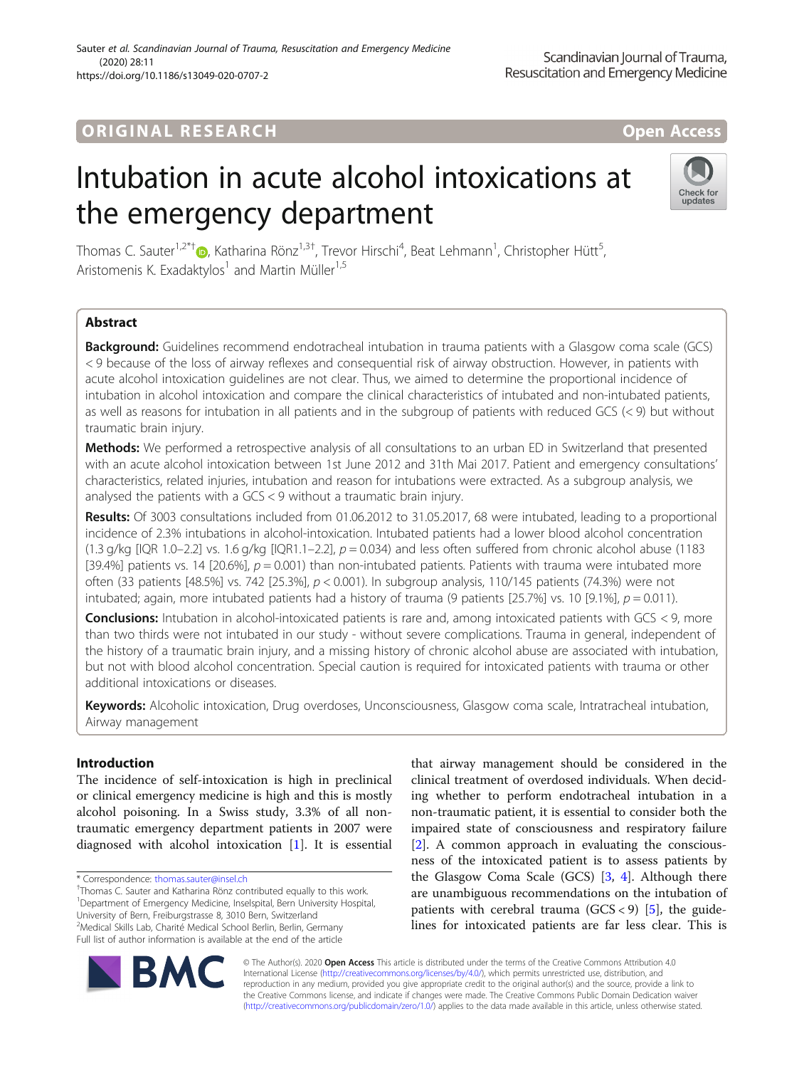## **ORIGINAL RESEARCH And Access** open Access

# Intubation in acute alcohol intoxications at the emergency department



Thomas C. Sauter<sup>1,2\*[†](http://orcid.org/0000-0002-6646-5789)</sup>®, Katharina Rönz<sup>1,3†</sup>, Trevor Hirschi<sup>4</sup>, Beat Lehmann<sup>1</sup>, Christopher Hütt<sup>5</sup> , Aristomenis K. Exadaktylos<sup>1</sup> and Martin Müller<sup>1,5</sup>

### Abstract

Background: Guidelines recommend endotracheal intubation in trauma patients with a Glasgow coma scale (GCS) < 9 because of the loss of airway reflexes and consequential risk of airway obstruction. However, in patients with acute alcohol intoxication guidelines are not clear. Thus, we aimed to determine the proportional incidence of intubation in alcohol intoxication and compare the clinical characteristics of intubated and non-intubated patients, as well as reasons for intubation in all patients and in the subgroup of patients with reduced GCS (< 9) but without traumatic brain injury.

**Methods:** We performed a retrospective analysis of all consultations to an urban ED in Switzerland that presented with an acute alcohol intoxication between 1st June 2012 and 31th Mai 2017. Patient and emergency consultations' characteristics, related injuries, intubation and reason for intubations were extracted. As a subgroup analysis, we analysed the patients with a GCS < 9 without a traumatic brain injury.

Results: Of 3003 consultations included from 01.06.2012 to 31.05.2017, 68 were intubated, leading to a proportional incidence of 2.3% intubations in alcohol-intoxication. Intubated patients had a lower blood alcohol concentration (1.3 g/kg [IQR 1.0–2.2] vs. 1.6 g/kg [IQR1.1–2.2],  $p = 0.034$ ) and less often suffered from chronic alcohol abuse (1183 [39.4%] patients vs. 14 [20.6%],  $p = 0.001$ ) than non-intubated patients. Patients with trauma were intubated more often (33 patients [48.5%] vs. 742 [25.3%],  $p < 0.001$ ). In subgroup analysis, 110/145 patients (74.3%) were not intubated; again, more intubated patients had a history of trauma (9 patients [25.7%] vs. 10 [9.1%],  $p = 0.011$ ).

**Conclusions:** Intubation in alcohol-intoxicated patients is rare and, among intoxicated patients with GCS  $< 9$ , more than two thirds were not intubated in our study - without severe complications. Trauma in general, independent of the history of a traumatic brain injury, and a missing history of chronic alcohol abuse are associated with intubation, but not with blood alcohol concentration. Special caution is required for intoxicated patients with trauma or other additional intoxications or diseases.

Keywords: Alcoholic intoxication, Drug overdoses, Unconsciousness, Glasgow coma scale, Intratracheal intubation, Airway management

#### Introduction

The incidence of self-intoxication is high in preclinical or clinical emergency medicine is high and this is mostly alcohol poisoning. In a Swiss study, 3.3% of all nontraumatic emergency department patients in 2007 were diagnosed with alcohol intoxication [\[1](#page-8-0)]. It is essential

<sup>†</sup>Thomas C. Sauter and Katharina Rönz contributed equally to this work. <sup>1</sup>Department of Emergency Medicine, Inselspital, Bern University Hospital,

<sup>2</sup>Medical Skills Lab, Charité Medical School Berlin, Berlin, Germany

Full list of author information is available at the end of the article

that airway management should be considered in the clinical treatment of overdosed individuals. When deciding whether to perform endotracheal intubation in a non-traumatic patient, it is essential to consider both the impaired state of consciousness and respiratory failure [[2\]](#page-8-0). A common approach in evaluating the consciousness of the intoxicated patient is to assess patients by the Glasgow Coma Scale (GCS) [\[3](#page-8-0), [4\]](#page-8-0). Although there are unambiguous recommendations on the intubation of patients with cerebral trauma ( $GCS < 9$ ) [[5\]](#page-8-0), the guidelines for intoxicated patients are far less clear. This is



© The Author(s). 2020 **Open Access** This article is distributed under the terms of the Creative Commons Attribution 4.0 International License [\(http://creativecommons.org/licenses/by/4.0/](http://creativecommons.org/licenses/by/4.0/)), which permits unrestricted use, distribution, and reproduction in any medium, provided you give appropriate credit to the original author(s) and the source, provide a link to the Creative Commons license, and indicate if changes were made. The Creative Commons Public Domain Dedication waiver [\(http://creativecommons.org/publicdomain/zero/1.0/](http://creativecommons.org/publicdomain/zero/1.0/)) applies to the data made available in this article, unless otherwise stated.

<sup>\*</sup> Correspondence: [thomas.sauter@insel.ch](mailto:thomas.sauter@insel.ch) †

University of Bern, Freiburgstrasse 8, 3010 Bern, Switzerland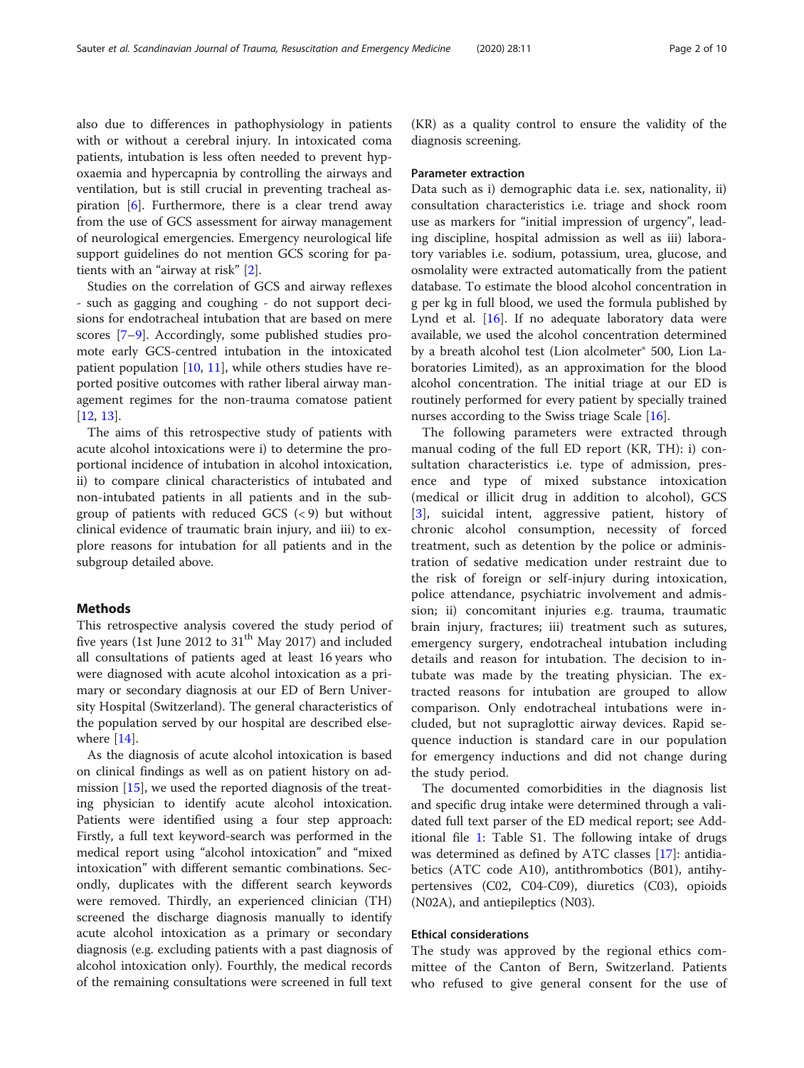also due to differences in pathophysiology in patients with or without a cerebral injury. In intoxicated coma patients, intubation is less often needed to prevent hypoxaemia and hypercapnia by controlling the airways and ventilation, but is still crucial in preventing tracheal aspiration  $[6]$ . Furthermore, there is a clear trend away from the use of GCS assessment for airway management of neurological emergencies. Emergency neurological life support guidelines do not mention GCS scoring for patients with an "airway at risk" [[2\]](#page-8-0).

Studies on the correlation of GCS and airway reflexes - such as gagging and coughing - do not support decisions for endotracheal intubation that are based on mere scores [\[7](#page-8-0)–[9](#page-8-0)]. Accordingly, some published studies promote early GCS-centred intubation in the intoxicated patient population [[10](#page-8-0), [11\]](#page-8-0), while others studies have reported positive outcomes with rather liberal airway management regimes for the non-trauma comatose patient [[12,](#page-8-0) [13\]](#page-8-0).

The aims of this retrospective study of patients with acute alcohol intoxications were i) to determine the proportional incidence of intubation in alcohol intoxication, ii) to compare clinical characteristics of intubated and non-intubated patients in all patients and in the subgroup of patients with reduced  $GCS$  (< 9) but without clinical evidence of traumatic brain injury, and iii) to explore reasons for intubation for all patients and in the subgroup detailed above.

#### Methods

This retrospective analysis covered the study period of five years (1st June 2012 to  $31<sup>th</sup>$  May 2017) and included all consultations of patients aged at least 16 years who were diagnosed with acute alcohol intoxication as a primary or secondary diagnosis at our ED of Bern University Hospital (Switzerland). The general characteristics of the population served by our hospital are described elsewhere [\[14](#page-8-0)].

As the diagnosis of acute alcohol intoxication is based on clinical findings as well as on patient history on admission [\[15\]](#page-8-0), we used the reported diagnosis of the treating physician to identify acute alcohol intoxication. Patients were identified using a four step approach: Firstly, a full text keyword-search was performed in the medical report using "alcohol intoxication" and "mixed intoxication" with different semantic combinations. Secondly, duplicates with the different search keywords were removed. Thirdly, an experienced clinician (TH) screened the discharge diagnosis manually to identify acute alcohol intoxication as a primary or secondary diagnosis (e.g. excluding patients with a past diagnosis of alcohol intoxication only). Fourthly, the medical records of the remaining consultations were screened in full text

(KR) as a quality control to ensure the validity of the diagnosis screening.

#### Parameter extraction

Data such as i) demographic data i.e. sex, nationality, ii) consultation characteristics i.e. triage and shock room use as markers for "initial impression of urgency", leading discipline, hospital admission as well as iii) laboratory variables i.e. sodium, potassium, urea, glucose, and osmolality were extracted automatically from the patient database. To estimate the blood alcohol concentration in g per kg in full blood, we used the formula published by Lynd et al. [[16\]](#page-8-0). If no adequate laboratory data were available, we used the alcohol concentration determined by a breath alcohol test (Lion alcolmeter® 500, Lion Laboratories Limited), as an approximation for the blood alcohol concentration. The initial triage at our ED is routinely performed for every patient by specially trained nurses according to the Swiss triage Scale [[16](#page-8-0)].

The following parameters were extracted through manual coding of the full ED report (KR, TH): i) consultation characteristics i.e. type of admission, presence and type of mixed substance intoxication (medical or illicit drug in addition to alcohol), GCS [[3](#page-8-0)], suicidal intent, aggressive patient, history of chronic alcohol consumption, necessity of forced treatment, such as detention by the police or administration of sedative medication under restraint due to the risk of foreign or self-injury during intoxication, police attendance, psychiatric involvement and admission; ii) concomitant injuries e.g. trauma, traumatic brain injury, fractures; iii) treatment such as sutures, emergency surgery, endotracheal intubation including details and reason for intubation. The decision to intubate was made by the treating physician. The extracted reasons for intubation are grouped to allow comparison. Only endotracheal intubations were included, but not supraglottic airway devices. Rapid sequence induction is standard care in our population for emergency inductions and did not change during the study period.

The documented comorbidities in the diagnosis list and specific drug intake were determined through a validated full text parser of the ED medical report; see Additional file [1:](#page-8-0) Table S1. The following intake of drugs was determined as defined by ATC classes [[17\]](#page-8-0): antidiabetics (ATC code A10), antithrombotics (B01), antihypertensives (C02, C04-C09), diuretics (C03), opioids (N02A), and antiepileptics (N03).

#### Ethical considerations

The study was approved by the regional ethics committee of the Canton of Bern, Switzerland. Patients who refused to give general consent for the use of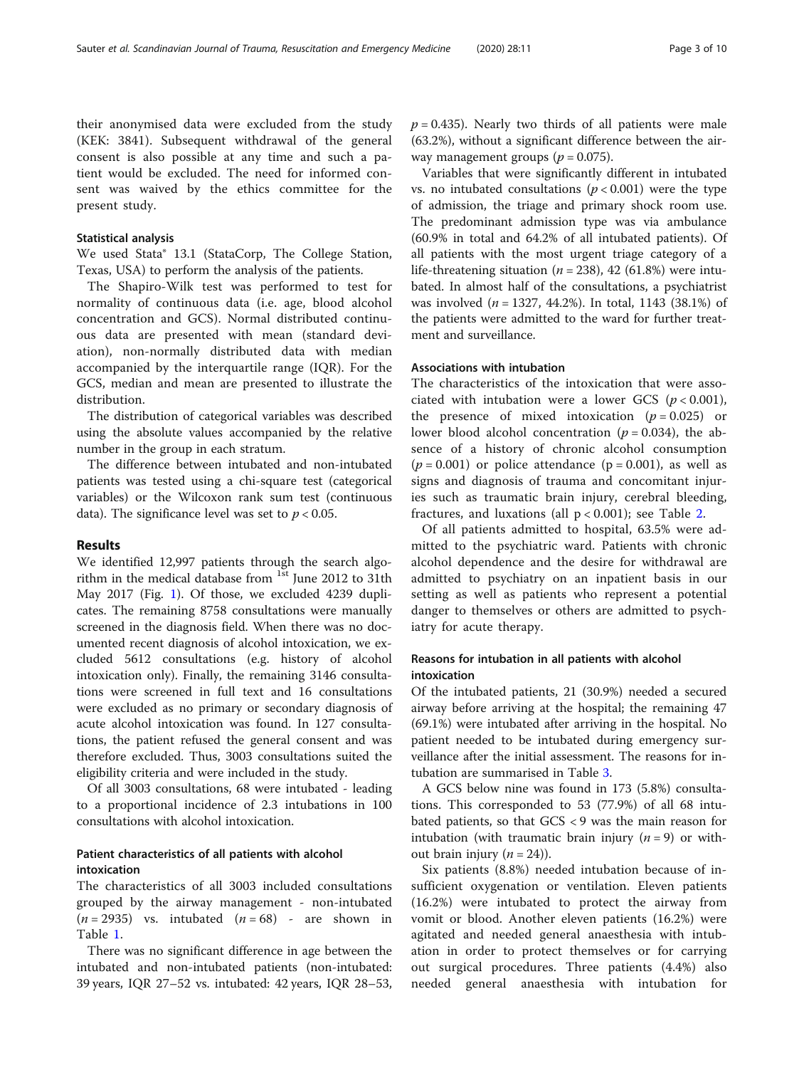their anonymised data were excluded from the study (KEK: 3841). Subsequent withdrawal of the general consent is also possible at any time and such a patient would be excluded. The need for informed consent was waived by the ethics committee for the present study.

#### Statistical analysis

We used Stata® 13.1 (StataCorp, The College Station, Texas, USA) to perform the analysis of the patients.

The Shapiro-Wilk test was performed to test for normality of continuous data (i.e. age, blood alcohol concentration and GCS). Normal distributed continuous data are presented with mean (standard deviation), non-normally distributed data with median accompanied by the interquartile range (IQR). For the GCS, median and mean are presented to illustrate the distribution.

The distribution of categorical variables was described using the absolute values accompanied by the relative number in the group in each stratum.

The difference between intubated and non-intubated patients was tested using a chi-square test (categorical variables) or the Wilcoxon rank sum test (continuous data). The significance level was set to  $p < 0.05$ .

#### Results

We identified 12,997 patients through the search algorithm in the medical database from <sup>1st</sup> June 2012 to 31th May 2017 (Fig. [1\)](#page-3-0). Of those, we excluded 4239 duplicates. The remaining 8758 consultations were manually screened in the diagnosis field. When there was no documented recent diagnosis of alcohol intoxication, we excluded 5612 consultations (e.g. history of alcohol intoxication only). Finally, the remaining 3146 consultations were screened in full text and 16 consultations were excluded as no primary or secondary diagnosis of acute alcohol intoxication was found. In 127 consultations, the patient refused the general consent and was therefore excluded. Thus, 3003 consultations suited the eligibility criteria and were included in the study.

Of all 3003 consultations, 68 were intubated - leading to a proportional incidence of 2.3 intubations in 100 consultations with alcohol intoxication.

#### Patient characteristics of all patients with alcohol intoxication

The characteristics of all 3003 included consultations grouped by the airway management - non-intubated  $(n = 2935)$  vs. intubated  $(n = 68)$  - are shown in Table [1](#page-4-0).

There was no significant difference in age between the intubated and non-intubated patients (non-intubated: 39 years, IQR 27–52 vs. intubated: 42 years, IQR 28–53,  $p = 0.435$ ). Nearly two thirds of all patients were male (63.2%), without a significant difference between the airway management groups ( $p = 0.075$ ).

Variables that were significantly different in intubated vs. no intubated consultations ( $p < 0.001$ ) were the type of admission, the triage and primary shock room use. The predominant admission type was via ambulance (60.9% in total and 64.2% of all intubated patients). Of all patients with the most urgent triage category of a life-threatening situation ( $n = 238$ ), 42 (61.8%) were intubated. In almost half of the consultations, a psychiatrist was involved  $(n = 1327, 44.2\%)$ . In total, 1143 (38.1%) of the patients were admitted to the ward for further treatment and surveillance.

#### Associations with intubation

The characteristics of the intoxication that were associated with intubation were a lower GCS ( $p < 0.001$ ), the presence of mixed intoxication  $(p = 0.025)$  or lower blood alcohol concentration ( $p = 0.034$ ), the absence of a history of chronic alcohol consumption  $(p = 0.001)$  or police attendance  $(p = 0.001)$ , as well as signs and diagnosis of trauma and concomitant injuries such as traumatic brain injury, cerebral bleeding, fractures, and luxations (all  $p < 0.001$ ); see Table [2.](#page-5-0)

Of all patients admitted to hospital, 63.5% were admitted to the psychiatric ward. Patients with chronic alcohol dependence and the desire for withdrawal are admitted to psychiatry on an inpatient basis in our setting as well as patients who represent a potential danger to themselves or others are admitted to psychiatry for acute therapy.

#### Reasons for intubation in all patients with alcohol intoxication

Of the intubated patients, 21 (30.9%) needed a secured airway before arriving at the hospital; the remaining 47 (69.1%) were intubated after arriving in the hospital. No patient needed to be intubated during emergency surveillance after the initial assessment. The reasons for intubation are summarised in Table [3.](#page-5-0)

A GCS below nine was found in 173 (5.8%) consultations. This corresponded to 53 (77.9%) of all 68 intubated patients, so that GCS < 9 was the main reason for intubation (with traumatic brain injury  $(n = 9)$  or without brain injury  $(n = 24)$ ).

Six patients (8.8%) needed intubation because of insufficient oxygenation or ventilation. Eleven patients (16.2%) were intubated to protect the airway from vomit or blood. Another eleven patients (16.2%) were agitated and needed general anaesthesia with intubation in order to protect themselves or for carrying out surgical procedures. Three patients (4.4%) also needed general anaesthesia with intubation for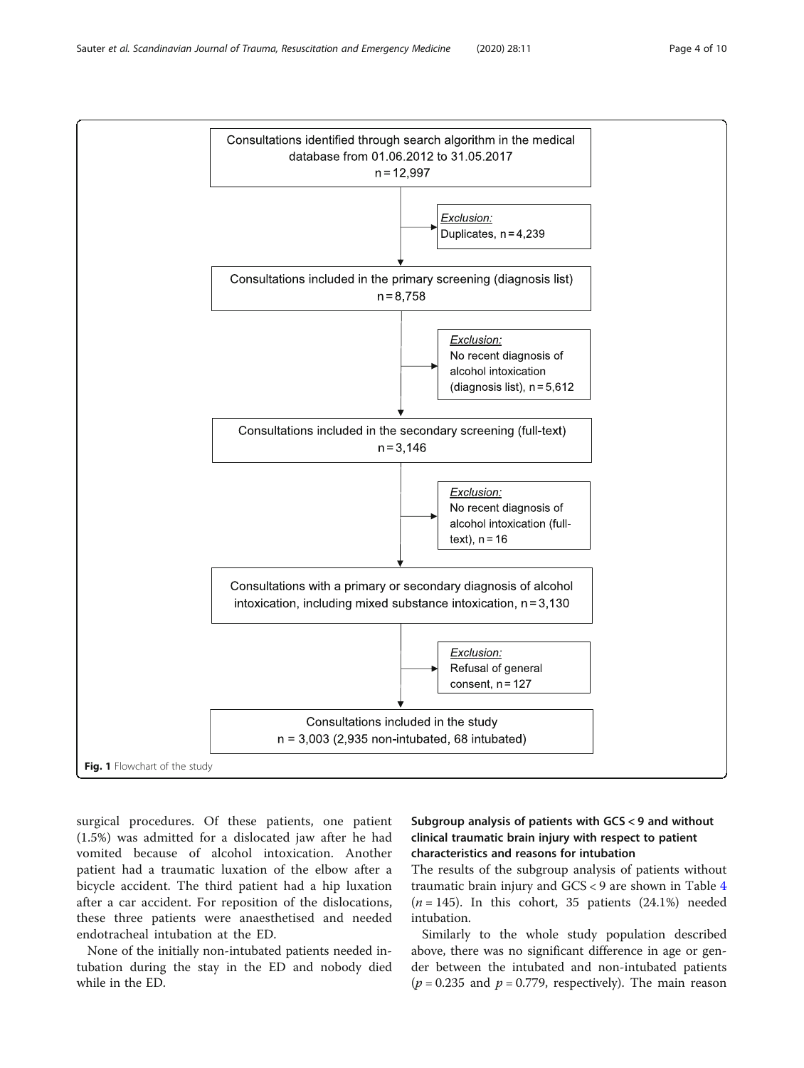<span id="page-3-0"></span>

surgical procedures. Of these patients, one patient (1.5%) was admitted for a dislocated jaw after he had vomited because of alcohol intoxication. Another patient had a traumatic luxation of the elbow after a bicycle accident. The third patient had a hip luxation after a car accident. For reposition of the dislocations, these three patients were anaesthetised and needed endotracheal intubation at the ED.

None of the initially non-intubated patients needed intubation during the stay in the ED and nobody died while in the ED.

#### Subgroup analysis of patients with GCS < 9 and without clinical traumatic brain injury with respect to patient characteristics and reasons for intubation

The results of the subgroup analysis of patients without traumatic brain injury and GCS < 9 are shown in Table [4](#page-6-0)  $(n = 145)$ . In this cohort, 35 patients  $(24.1\%)$  needed intubation.

Similarly to the whole study population described above, there was no significant difference in age or gender between the intubated and non-intubated patients  $(p = 0.235$  and  $p = 0.779$ , respectively). The main reason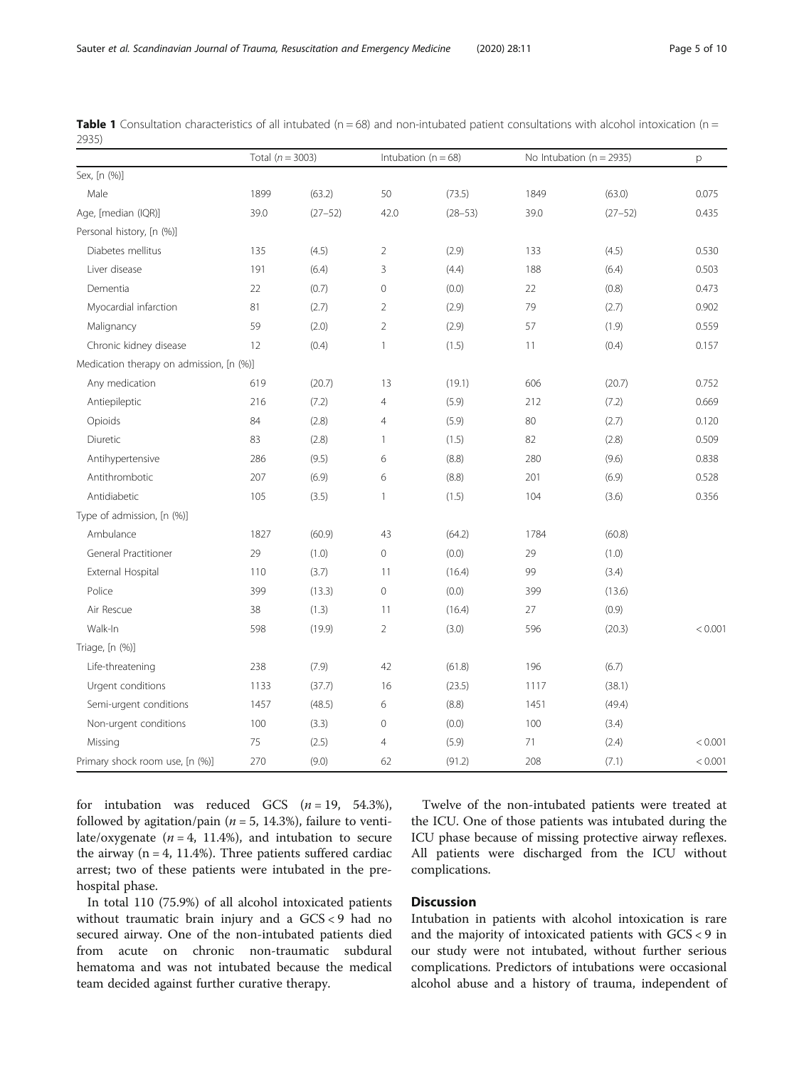|                                          |      | Total ( $n = 3003$ ) |                | Intubation ( $n = 68$ ) | No Intubation ( $n = 2935$ ) |             | р       |
|------------------------------------------|------|----------------------|----------------|-------------------------|------------------------------|-------------|---------|
| Sex, [n (%)]                             |      |                      |                |                         |                              |             |         |
| Male                                     | 1899 | (63.2)               | 50             | (73.5)                  | 1849                         | (63.0)      | 0.075   |
| Age, [median (IQR)]                      | 39.0 | $(27 - 52)$          | 42.0           | $(28 - 53)$             | 39.0                         | $(27 - 52)$ | 0.435   |
| Personal history, [n (%)]                |      |                      |                |                         |                              |             |         |
| Diabetes mellitus                        | 135  | (4.5)                | $\overline{2}$ | (2.9)                   | 133                          | (4.5)       | 0.530   |
| Liver disease                            | 191  | (6.4)                | 3              | (4.4)                   | 188                          | (6.4)       | 0.503   |
| Dementia                                 | 22   | (0.7)                | $\mathbf 0$    | (0.0)                   | 22                           | (0.8)       | 0.473   |
| Myocardial infarction                    | 81   | (2.7)                | $\overline{2}$ | (2.9)                   | 79                           | (2.7)       | 0.902   |
| Malignancy                               | 59   | (2.0)                | $\overline{2}$ | (2.9)                   | 57                           | (1.9)       | 0.559   |
| Chronic kidney disease                   | 12   | (0.4)                | $\mathbf{1}$   | (1.5)                   | 11                           | (0.4)       | 0.157   |
| Medication therapy on admission, [n (%)] |      |                      |                |                         |                              |             |         |
| Any medication                           | 619  | (20.7)               | 13             | (19.1)                  | 606                          | (20.7)      | 0.752   |
| Antiepileptic                            | 216  | (7.2)                | $\overline{4}$ | (5.9)                   | 212                          | (7.2)       | 0.669   |
| Opioids                                  | 84   | (2.8)                | $\overline{4}$ | (5.9)                   | 80                           | (2.7)       | 0.120   |
| Diuretic                                 | 83   | (2.8)                | $\mathbf{1}$   | (1.5)                   | 82                           | (2.8)       | 0.509   |
| Antihypertensive                         | 286  | (9.5)                | 6              | (8.8)                   | 280                          | (9.6)       | 0.838   |
| Antithrombotic                           | 207  | (6.9)                | 6              | (8.8)                   | 201                          | (6.9)       | 0.528   |
| Antidiabetic                             | 105  | (3.5)                | $\mathbf{1}$   | (1.5)                   | 104                          | (3.6)       | 0.356   |
| Type of admission, [n (%)]               |      |                      |                |                         |                              |             |         |
| Ambulance                                | 1827 | (60.9)               | 43             | (64.2)                  | 1784                         | (60.8)      |         |
| General Practitioner                     | 29   | (1.0)                | $\mathbf 0$    | (0.0)                   | 29                           | (1.0)       |         |
| External Hospital                        | 110  | (3.7)                | 11             | (16.4)                  | 99                           | (3.4)       |         |
| Police                                   | 399  | (13.3)               | $\overline{0}$ | (0.0)                   | 399                          | (13.6)      |         |
| Air Rescue                               | 38   | (1.3)                | 11             | (16.4)                  | 27                           | (0.9)       |         |
| Walk-In                                  | 598  | (19.9)               | $\overline{2}$ | (3.0)                   | 596                          | (20.3)      | < 0.001 |
| Triage, [n (%)]                          |      |                      |                |                         |                              |             |         |
| Life-threatening                         | 238  | (7.9)                | 42             | (61.8)                  | 196                          | (6.7)       |         |
| Urgent conditions                        | 1133 | (37.7)               | 16             | (23.5)                  | 1117                         | (38.1)      |         |
| Semi-urgent conditions                   | 1457 | (48.5)               | 6              | (8.8)                   | 1451                         | (49.4)      |         |
| Non-urgent conditions                    | 100  | (3.3)                | $\mathbf 0$    | (0.0)                   | 100                          | (3.4)       |         |
| Missing                                  | 75   | (2.5)                | 4              | (5.9)                   | 71                           | (2.4)       | < 0.001 |
| Primary shock room use, [n (%)]          | 270  | (9.0)                | 62             | (91.2)                  | 208                          | (7.1)       | < 0.001 |

<span id="page-4-0"></span>**Table 1** Consultation characteristics of all intubated  $(n = 68)$  and non-intubated patient consultations with alcohol intoxication  $(n = 100)$ 2935)

for intubation was reduced GCS  $(n = 19, 54.3\%)$ , followed by agitation/pain ( $n = 5$ , 14.3%), failure to ventilate/oxygenate ( $n = 4$ , 11.4%), and intubation to secure the airway ( $n = 4$ , 11.4%). Three patients suffered cardiac arrest; two of these patients were intubated in the prehospital phase.

In total 110 (75.9%) of all alcohol intoxicated patients without traumatic brain injury and a GCS < 9 had no secured airway. One of the non-intubated patients died from acute on chronic non-traumatic subdural hematoma and was not intubated because the medical team decided against further curative therapy.

Twelve of the non-intubated patients were treated at the ICU. One of those patients was intubated during the ICU phase because of missing protective airway reflexes. All patients were discharged from the ICU without complications.

#### **Discussion**

Intubation in patients with alcohol intoxication is rare and the majority of intoxicated patients with GCS < 9 in our study were not intubated, without further serious complications. Predictors of intubations were occasional alcohol abuse and a history of trauma, independent of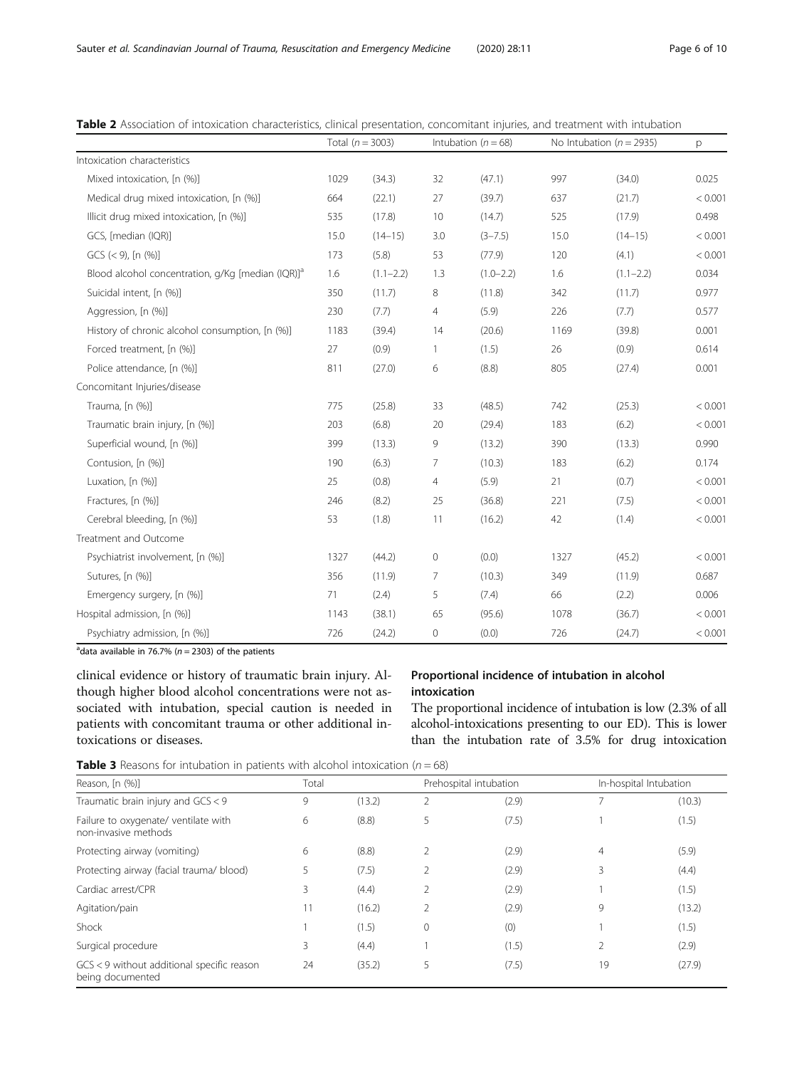|                                                               | Total $(n = 3003)$ |               | Intubation ( $n = 68$ ) |               | No Intubation ( $n = 2935$ ) |               | p       |
|---------------------------------------------------------------|--------------------|---------------|-------------------------|---------------|------------------------------|---------------|---------|
| Intoxication characteristics                                  |                    |               |                         |               |                              |               |         |
| Mixed intoxication, [n (%)]                                   | 1029               | (34.3)        | 32                      | (47.1)        | 997                          | (34.0)        | 0.025   |
| Medical drug mixed intoxication, [n (%)]                      | 664                | (22.1)        | 27                      | (39.7)        | 637                          | (21.7)        | < 0.001 |
| Illicit drug mixed intoxication, [n (%)]                      | 535                | (17.8)        | 10                      | (14.7)        | 525                          | (17.9)        | 0.498   |
| GCS, [median (IQR)]                                           | 15.0               | $(14 - 15)$   | 3.0                     | $(3 - 7.5)$   | 15.0                         | $(14 - 15)$   | < 0.001 |
| $GCS$ (< 9), [n (%)]                                          | 173                | (5.8)         | 53                      | (77.9)        | 120                          | (4.1)         | < 0.001 |
| Blood alcohol concentration, g/Kg [median (IQR)] <sup>a</sup> | 1.6                | $(1.1 - 2.2)$ | 1.3                     | $(1.0 - 2.2)$ | 1.6                          | $(1.1 - 2.2)$ | 0.034   |
| Suicidal intent, [n (%)]                                      | 350                | (11.7)        | 8                       | (11.8)        | 342                          | (11.7)        | 0.977   |
| Aggression, [n (%)]                                           | 230                | (7.7)         | $\overline{4}$          | (5.9)         | 226                          | (7.7)         | 0.577   |
| History of chronic alcohol consumption, [n (%)]               | 1183               | (39.4)        | 14                      | (20.6)        | 1169                         | (39.8)        | 0.001   |
| Forced treatment, [n (%)]                                     | 27                 | (0.9)         | $\mathbf{1}$            | (1.5)         | 26                           | (0.9)         | 0.614   |
| Police attendance, [n (%)]                                    | 811                | (27.0)        | 6                       | (8.8)         | 805                          | (27.4)        | 0.001   |
| Concomitant Injuries/disease                                  |                    |               |                         |               |                              |               |         |
| Trauma, [n (%)]                                               | 775                | (25.8)        | 33                      | (48.5)        | 742                          | (25.3)        | < 0.001 |
| Traumatic brain injury, [n (%)]                               | 203                | (6.8)         | 20                      | (29.4)        | 183                          | (6.2)         | < 0.001 |
| Superficial wound, [n (%)]                                    | 399                | (13.3)        | 9                       | (13.2)        | 390                          | (13.3)        | 0.990   |
| Contusion, [n (%)]                                            | 190                | (6.3)         | $\overline{7}$          | (10.3)        | 183                          | (6.2)         | 0.174   |
| Luxation, [n (%)]                                             | 25                 | (0.8)         | 4                       | (5.9)         | 21                           | (0.7)         | < 0.001 |
| Fractures, [n (%)]                                            | 246                | (8.2)         | 25                      | (36.8)        | 221                          | (7.5)         | < 0.001 |
| Cerebral bleeding, [n (%)]                                    | 53                 | (1.8)         | 11                      | (16.2)        | 42                           | (1.4)         | < 0.001 |
| Treatment and Outcome                                         |                    |               |                         |               |                              |               |         |
| Psychiatrist involvement, [n (%)]                             | 1327               | (44.2)        | $\mathbf 0$             | (0.0)         | 1327                         | (45.2)        | < 0.001 |
| Sutures, [n (%)]                                              | 356                | (11.9)        | $\overline{7}$          | (10.3)        | 349                          | (11.9)        | 0.687   |
| Emergency surgery, [n (%)]                                    | 71                 | (2.4)         | 5                       | (7.4)         | 66                           | (2.2)         | 0.006   |
| Hospital admission, [n (%)]                                   | 1143               | (38.1)        | 65                      | (95.6)        | 1078                         | (36.7)        | < 0.001 |
| Psychiatry admission, [n (%)]                                 | 726                | (24.2)        | $\mathbf 0$             | (0.0)         | 726                          | (24.7)        | < 0.001 |

<span id="page-5-0"></span>

| Table 2 Association of intoxication characteristics, clinical presentation, concomitant injuries, and treatment with intubation |  |  |  |
|---------------------------------------------------------------------------------------------------------------------------------|--|--|--|
|---------------------------------------------------------------------------------------------------------------------------------|--|--|--|

 $a$ data available in 76.7% ( $n = 2303$ ) of the patients

clinical evidence or history of traumatic brain injury. Although higher blood alcohol concentrations were not associated with intubation, special caution is needed in patients with concomitant trauma or other additional intoxications or diseases.

#### Proportional incidence of intubation in alcohol intoxication

The proportional incidence of intubation is low (2.3% of all alcohol-intoxications presenting to our ED). This is lower than the intubation rate of 3.5% for drug intoxication

**Table 3** Reasons for intubation in patients with alcohol intoxication ( $n = 68$ )

| Reason, [n (%)]                                                | Total |        |                | Prehospital intubation |    | In-hospital Intubation |  |
|----------------------------------------------------------------|-------|--------|----------------|------------------------|----|------------------------|--|
| Traumatic brain injury and GCS < 9                             | 9     | (13.2) | 2              | (2.9)                  |    | (10.3)                 |  |
| Failure to oxygenate/ ventilate with<br>non-invasive methods   | 6     | (8.8)  | 5              | (7.5)                  |    | (1.5)                  |  |
| Protecting airway (vomiting)                                   | 6     | (8.8)  | $\overline{2}$ | (2.9)                  | 4  | (5.9)                  |  |
| Protecting airway (facial trauma/ blood)                       | 5     | (7.5)  | 2              | (2.9)                  | 3  | (4.4)                  |  |
| Cardiac arrest/CPR                                             | 3     | (4.4)  | 2              | (2.9)                  |    | (1.5)                  |  |
| Agitation/pain                                                 | 11    | (16.2) | 2              | (2.9)                  | 9  | (13.2)                 |  |
| Shock                                                          |       | (1.5)  | 0              | (0)                    |    | (1.5)                  |  |
| Surgical procedure                                             | 3     | (4.4)  |                | (1.5)                  | 2  | (2.9)                  |  |
| GCS < 9 without additional specific reason<br>being documented | 24    | (35.2) | 5              | (7.5)                  | 19 | (27.9)                 |  |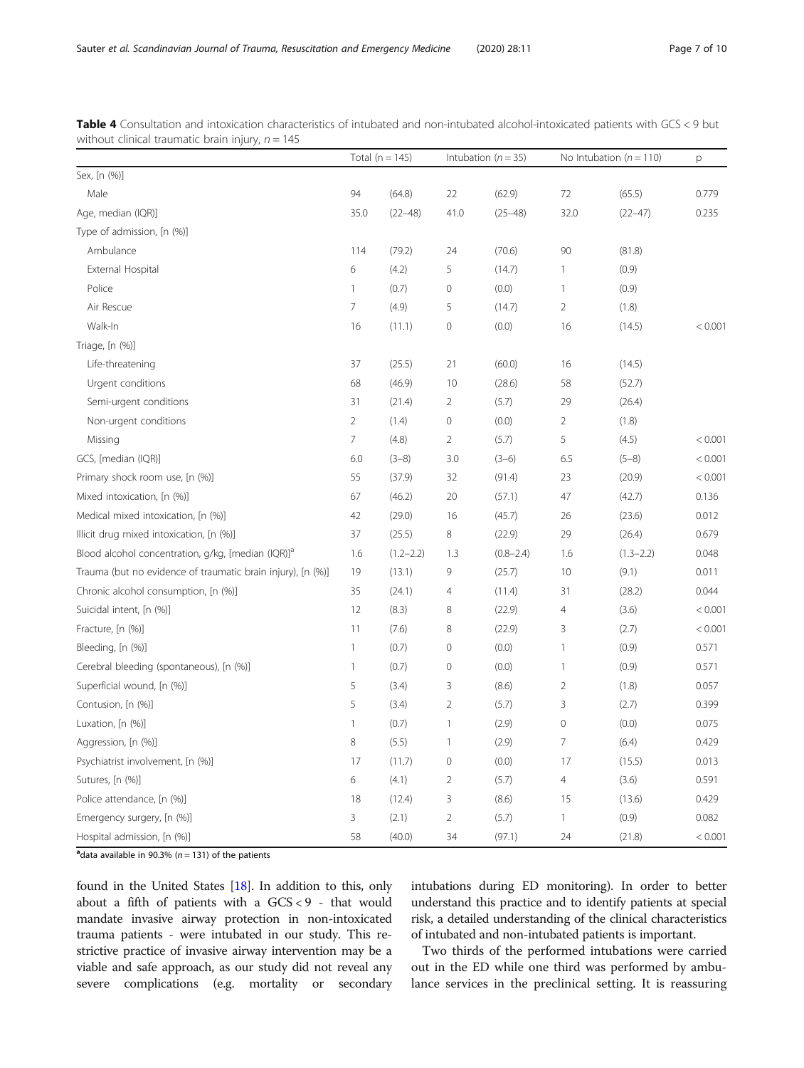<span id="page-6-0"></span>

| Table 4 Consultation and intoxication characteristics of intubated and non-intubated alcohol-intoxicated patients with GCS < 9 but |                   |                       |                           |  |
|------------------------------------------------------------------------------------------------------------------------------------|-------------------|-----------------------|---------------------------|--|
| without clinical traumatic brain injury, $n = 145$                                                                                 |                   |                       |                           |  |
|                                                                                                                                    | Total $(n = 145)$ | Intubation $(n = 35)$ | No Intubation $(n = 110)$ |  |
| Sex, [n (%)]                                                                                                                       |                   |                       |                           |  |

| Male                                                           | 94             | (64.8)        | 22             | (62.9)        | 72             | (65.5)        | 0.779   |
|----------------------------------------------------------------|----------------|---------------|----------------|---------------|----------------|---------------|---------|
| Age, median (IQR)]                                             | 35.0           | $(22 - 48)$   | 41.0           | $(25 - 48)$   | 32.0           | $(22 - 47)$   | 0.235   |
| Type of admission, [n (%)]                                     |                |               |                |               |                |               |         |
| Ambulance                                                      | 114            | (79.2)        | 24             | (70.6)        | 90             | (81.8)        |         |
| External Hospital                                              | 6              | (4.2)         | 5              | (14.7)        | 1              | (0.9)         |         |
| Police                                                         | $\mathbf{1}$   | (0.7)         | 0              | (0.0)         | 1              | (0.9)         |         |
| Air Rescue                                                     | $\overline{7}$ | (4.9)         | 5              | (14.7)        | $\overline{2}$ | (1.8)         |         |
| Walk-In                                                        | 16             | (11.1)        | 0              | (0.0)         | 16             | (14.5)        | < 0.001 |
| Triage, [n (%)]                                                |                |               |                |               |                |               |         |
| Life-threatening                                               | 37             | (25.5)        | 21             | (60.0)        | 16             | (14.5)        |         |
| Urgent conditions                                              | 68             | (46.9)        | 10             | (28.6)        | 58             | (52.7)        |         |
| Semi-urgent conditions                                         | 31             | (21.4)        | $\overline{2}$ | (5.7)         | 29             | (26.4)        |         |
| Non-urgent conditions                                          | $\overline{2}$ | (1.4)         | 0              | (0.0)         | $\overline{2}$ | (1.8)         |         |
| Missing                                                        | $\overline{7}$ | (4.8)         | $\overline{2}$ | (5.7)         | 5              | (4.5)         | < 0.001 |
| GCS, [median (IQR)]                                            | 6.0            | $(3-8)$       | 3.0            | $(3-6)$       | 6.5            | $(5-8)$       | < 0.001 |
| Primary shock room use, [n (%)]                                | 55             | (37.9)        | 32             | (91.4)        | 23             | (20.9)        | < 0.001 |
| Mixed intoxication, [n (%)]                                    | 67             | (46.2)        | 20             | (57.1)        | 47             | (42.7)        | 0.136   |
| Medical mixed intoxication, [n (%)]                            | 42             | (29.0)        | 16             | (45.7)        | 26             | (23.6)        | 0.012   |
| Illicit drug mixed intoxication, [n (%)]                       | 37             | (25.5)        | 8              | (22.9)        | 29             | (26.4)        | 0.679   |
| Blood alcohol concentration, g/kg, [median (IQR)] <sup>a</sup> | 1.6            | $(1.2 - 2.2)$ | 1.3            | $(0.8 - 2.4)$ | 1.6            | $(1.3 - 2.2)$ | 0.048   |
| Trauma (but no evidence of traumatic brain injury), [n (%)]    | 19             | (13.1)        | 9              | (25.7)        | 10             | (9.1)         | 0.011   |
| Chronic alcohol consumption, [n (%)]                           | 35             | (24.1)        | $\overline{4}$ | (11.4)        | 31             | (28.2)        | 0.044   |
| Suicidal intent, [n (%)]                                       | 12             | (8.3)         | 8              | (22.9)        | 4              | (3.6)         | < 0.001 |
| Fracture, [n (%)]                                              | 11             | (7.6)         | 8              | (22.9)        | 3              | (2.7)         | < 0.001 |
| Bleeding, [n (%)]                                              | $\mathbf{1}$   | (0.7)         | 0              | (0.0)         | $\mathbf{1}$   | (0.9)         | 0.571   |
| Cerebral bleeding (spontaneous), [n (%)]                       | $\mathbf{1}$   | (0.7)         | 0              | (0.0)         | $\mathbf{1}$   | (0.9)         | 0.571   |
| Superficial wound, [n (%)]                                     | 5              | (3.4)         | 3              | (8.6)         | $\overline{2}$ | (1.8)         | 0.057   |
| Contusion, [n (%)]                                             | 5              | (3.4)         | $\overline{2}$ | (5.7)         | 3              | (2.7)         | 0.399   |
| Luxation, [n (%)]                                              | $\mathbf{1}$   | (0.7)         | $\mathbf{1}$   | (2.9)         | 0              | (0.0)         | 0.075   |
| Aggression, [n (%)]                                            | 8              | (5.5)         | $\mathbf{1}$   | (2.9)         | 7              | (6.4)         | 0.429   |
| Psychiatrist involvement, [n (%)]                              | 17             | (11.7)        | 0              | (0.0)         | 17             | (15.5)        | 0.013   |
| Sutures, [n (%)]                                               | 6              | (4.1)         | 2              | (5.7)         | 4              | (3.6)         | 0.591   |
| Police attendance, [n (%)]                                     | 18             | (12.4)        | 3              | (8.6)         | 15             | (13.6)        | 0.429   |
| Emergency surgery, [n (%)]                                     | 3              | (2.1)         | 2              | (5.7)         | 1              | (0.9)         | 0.082   |
| Hospital admission, [n (%)]                                    | 58             | (40.0)        | 34             | (97.1)        | 24             | (21.8)        | < 0.001 |

adata available in 90.3%  $(n = 131)$  of the patients

found in the United States [\[18](#page-8-0)]. In addition to this, only about a fifth of patients with a  $GCS < 9$  - that would mandate invasive airway protection in non-intoxicated trauma patients - were intubated in our study. This restrictive practice of invasive airway intervention may be a viable and safe approach, as our study did not reveal any severe complications (e.g. mortality or secondary intubations during ED monitoring). In order to better understand this practice and to identify patients at special risk, a detailed understanding of the clinical characteristics of intubated and non-intubated patients is important.

Two thirds of the performed intubations were carried out in the ED while one third was performed by ambulance services in the preclinical setting. It is reassuring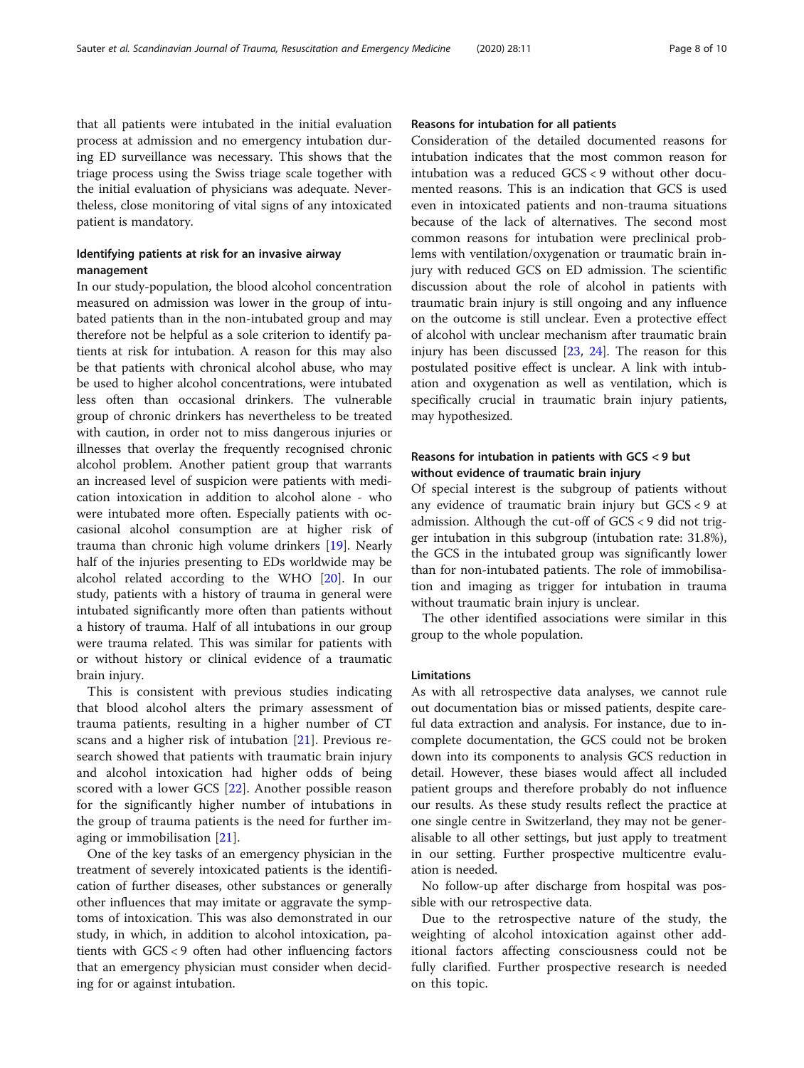that all patients were intubated in the initial evaluation process at admission and no emergency intubation during ED surveillance was necessary. This shows that the triage process using the Swiss triage scale together with the initial evaluation of physicians was adequate. Nevertheless, close monitoring of vital signs of any intoxicated patient is mandatory.

#### Identifying patients at risk for an invasive airway management

In our study-population, the blood alcohol concentration measured on admission was lower in the group of intubated patients than in the non-intubated group and may therefore not be helpful as a sole criterion to identify patients at risk for intubation. A reason for this may also be that patients with chronical alcohol abuse, who may be used to higher alcohol concentrations, were intubated less often than occasional drinkers. The vulnerable group of chronic drinkers has nevertheless to be treated with caution, in order not to miss dangerous injuries or illnesses that overlay the frequently recognised chronic alcohol problem. Another patient group that warrants an increased level of suspicion were patients with medication intoxication in addition to alcohol alone - who were intubated more often. Especially patients with occasional alcohol consumption are at higher risk of trauma than chronic high volume drinkers [\[19](#page-8-0)]. Nearly half of the injuries presenting to EDs worldwide may be alcohol related according to the WHO [\[20](#page-8-0)]. In our study, patients with a history of trauma in general were intubated significantly more often than patients without a history of trauma. Half of all intubations in our group were trauma related. This was similar for patients with or without history or clinical evidence of a traumatic brain injury.

This is consistent with previous studies indicating that blood alcohol alters the primary assessment of trauma patients, resulting in a higher number of CT scans and a higher risk of intubation [\[21](#page-8-0)]. Previous research showed that patients with traumatic brain injury and alcohol intoxication had higher odds of being scored with a lower GCS [\[22](#page-8-0)]. Another possible reason for the significantly higher number of intubations in the group of trauma patients is the need for further imaging or immobilisation [\[21\]](#page-8-0).

One of the key tasks of an emergency physician in the treatment of severely intoxicated patients is the identification of further diseases, other substances or generally other influences that may imitate or aggravate the symptoms of intoxication. This was also demonstrated in our study, in which, in addition to alcohol intoxication, patients with GCS < 9 often had other influencing factors that an emergency physician must consider when deciding for or against intubation.

#### Reasons for intubation for all patients

Consideration of the detailed documented reasons for intubation indicates that the most common reason for intubation was a reduced GCS < 9 without other documented reasons. This is an indication that GCS is used even in intoxicated patients and non-trauma situations because of the lack of alternatives. The second most common reasons for intubation were preclinical problems with ventilation/oxygenation or traumatic brain injury with reduced GCS on ED admission. The scientific discussion about the role of alcohol in patients with traumatic brain injury is still ongoing and any influence on the outcome is still unclear. Even a protective effect of alcohol with unclear mechanism after traumatic brain injury has been discussed [\[23](#page-8-0), [24](#page-9-0)]. The reason for this postulated positive effect is unclear. A link with intubation and oxygenation as well as ventilation, which is specifically crucial in traumatic brain injury patients, may hypothesized.

#### Reasons for intubation in patients with GCS < 9 but without evidence of traumatic brain injury

Of special interest is the subgroup of patients without any evidence of traumatic brain injury but GCS < 9 at admission. Although the cut-off of GCS < 9 did not trigger intubation in this subgroup (intubation rate: 31.8%), the GCS in the intubated group was significantly lower than for non-intubated patients. The role of immobilisation and imaging as trigger for intubation in trauma without traumatic brain injury is unclear.

The other identified associations were similar in this group to the whole population.

#### **Limitations**

As with all retrospective data analyses, we cannot rule out documentation bias or missed patients, despite careful data extraction and analysis. For instance, due to incomplete documentation, the GCS could not be broken down into its components to analysis GCS reduction in detail. However, these biases would affect all included patient groups and therefore probably do not influence our results. As these study results reflect the practice at one single centre in Switzerland, they may not be generalisable to all other settings, but just apply to treatment in our setting. Further prospective multicentre evaluation is needed.

No follow-up after discharge from hospital was possible with our retrospective data.

Due to the retrospective nature of the study, the weighting of alcohol intoxication against other additional factors affecting consciousness could not be fully clarified. Further prospective research is needed on this topic.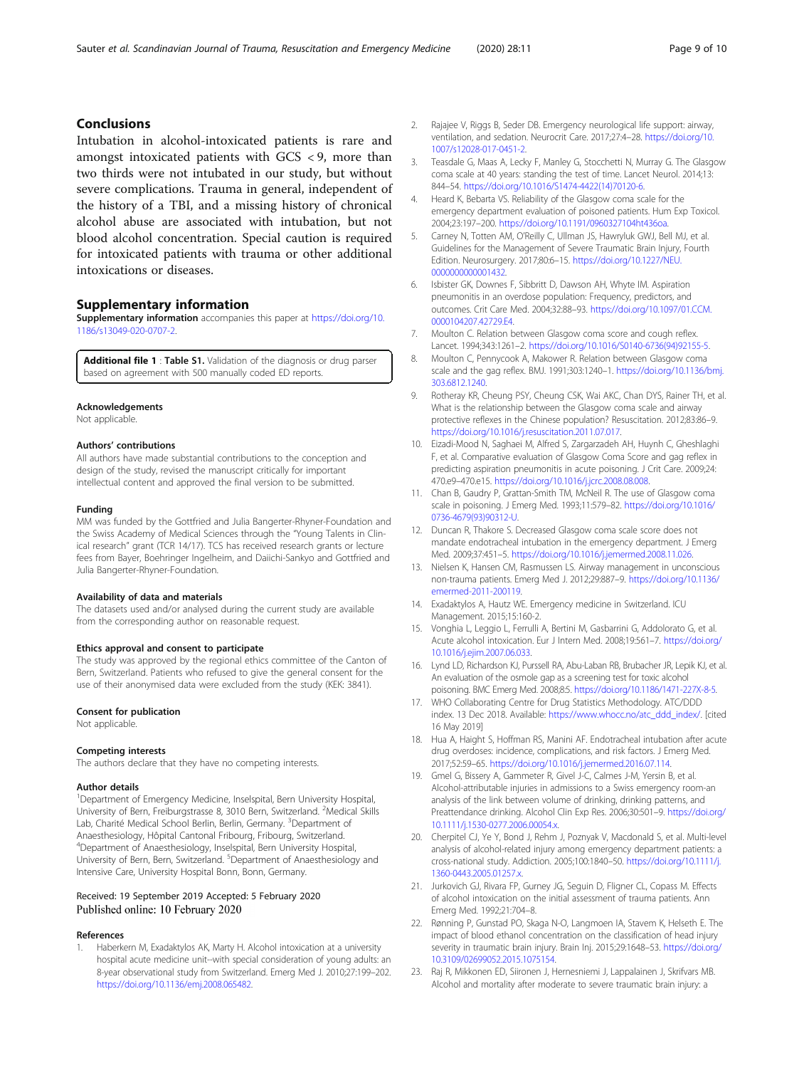#### <span id="page-8-0"></span>Conclusions

Intubation in alcohol-intoxicated patients is rare and amongst intoxicated patients with GCS < 9, more than two thirds were not intubated in our study, but without severe complications. Trauma in general, independent of the history of a TBI, and a missing history of chronical alcohol abuse are associated with intubation, but not blood alcohol concentration. Special caution is required for intoxicated patients with trauma or other additional intoxications or diseases.

#### Supplementary information

Supplementary information accompanies this paper at [https://doi.org/10.](https://doi.org/10.1186/s13049-020-0707-2) [1186/s13049-020-0707-2.](https://doi.org/10.1186/s13049-020-0707-2)

Additional file 1 : Table S1. Validation of the diagnosis or drug parser based on agreement with 500 manually coded ED reports.

#### Acknowledgements

Not applicable.

#### Authors' contributions

All authors have made substantial contributions to the conception and design of the study, revised the manuscript critically for important intellectual content and approved the final version to be submitted.

#### Funding

MM was funded by the Gottfried and Julia Bangerter-Rhyner-Foundation and the Swiss Academy of Medical Sciences through the "Young Talents in Clinical research" grant (TCR 14/17). TCS has received research grants or lecture fees from Bayer, Boehringer Ingelheim, and Daiichi-Sankyo and Gottfried and Julia Bangerter-Rhyner-Foundation.

#### Availability of data and materials

The datasets used and/or analysed during the current study are available from the corresponding author on reasonable request.

#### Ethics approval and consent to participate

The study was approved by the regional ethics committee of the Canton of Bern, Switzerland. Patients who refused to give the general consent for the use of their anonymised data were excluded from the study (KEK: 3841).

#### Consent for publication

Not applicable.

#### Competing interests

The authors declare that they have no competing interests.

#### Author details

<sup>1</sup>Department of Emergency Medicine, Inselspital, Bern University Hospital, University of Bern, Freiburgstrasse 8, 3010 Bern, Switzerland. <sup>2</sup>Medical Skills Lab, Charité Medical School Berlin, Berlin, Germany. <sup>3</sup>Department of Anaesthesiology, Hôpital Cantonal Fribourg, Fribourg, Switzerland. 4 Department of Anaesthesiology, Inselspital, Bern University Hospital, University of Bern, Bern, Switzerland. <sup>5</sup>Department of Anaesthesiology and Intensive Care, University Hospital Bonn, Bonn, Germany.

#### Received: 19 September 2019 Accepted: 5 February 2020 Published online: 10 February 2020

#### References

1. Haberkern M, Exadaktylos AK, Marty H. Alcohol intoxication at a university hospital acute medicine unit--with special consideration of young adults: an 8-year observational study from Switzerland. Emerg Med J. 2010;27:199–202. <https://doi.org/10.1136/emj.2008.065482>.

- 2. Rajajee V, Riggs B, Seder DB. Emergency neurological life support: airway, ventilation, and sedation. Neurocrit Care. 2017;27:4–28. [https://doi.org/10.](https://doi.org/10.1007/s12028-017-0451-2) [1007/s12028-017-0451-2](https://doi.org/10.1007/s12028-017-0451-2).
- 3. Teasdale G, Maas A, Lecky F, Manley G, Stocchetti N, Murray G. The Glasgow coma scale at 40 years: standing the test of time. Lancet Neurol. 2014;13: 844–54. [https://doi.org/10.1016/S1474-4422\(14\)70120-6.](https://doi.org/10.1016/S1474-4422(14)70120-6)
- 4. Heard K, Bebarta VS. Reliability of the Glasgow coma scale for the emergency department evaluation of poisoned patients. Hum Exp Toxicol. 2004;23:197–200. <https://doi.org/10.1191/0960327104ht436oa>.
- 5. Carney N, Totten AM, O'Reilly C, Ullman JS, Hawryluk GWJ, Bell MJ, et al. Guidelines for the Management of Severe Traumatic Brain Injury, Fourth Edition. Neurosurgery. 2017;80:6–15. [https://doi.org/10.1227/NEU.](https://doi.org/10.1227/NEU.0000000000001432) [0000000000001432](https://doi.org/10.1227/NEU.0000000000001432).
- 6. Isbister GK, Downes F, Sibbritt D, Dawson AH, Whyte IM. Aspiration pneumonitis in an overdose population: Frequency, predictors, and outcomes. Crit Care Med. 2004;32:88–93. [https://doi.org/10.1097/01.CCM.](https://doi.org/10.1097/01.CCM.0000104207.42729.E4) [0000104207.42729.E4.](https://doi.org/10.1097/01.CCM.0000104207.42729.E4)
- 7. Moulton C. Relation between Glasgow coma score and cough reflex. Lancet. 1994;343:1261–2. [https://doi.org/10.1016/S0140-6736\(94\)92155-5](https://doi.org/10.1016/S0140-6736(94)92155-5).
- 8. Moulton C, Pennycook A, Makower R. Relation between Glasgow coma scale and the gag reflex. BMJ. 1991;303:1240–1. [https://doi.org/10.1136/bmj.](https://doi.org/10.1136/bmj.303.6812.1240) [303.6812.1240.](https://doi.org/10.1136/bmj.303.6812.1240)
- 9. Rotheray KR, Cheung PSY, Cheung CSK, Wai AKC, Chan DYS, Rainer TH, et al. What is the relationship between the Glasgow coma scale and airway protective reflexes in the Chinese population? Resuscitation. 2012;83:86–9. <https://doi.org/10.1016/j.resuscitation.2011.07.017>.
- 10. Eizadi-Mood N, Saghaei M, Alfred S, Zargarzadeh AH, Huynh C, Gheshlaghi F, et al. Comparative evaluation of Glasgow Coma Score and gag reflex in predicting aspiration pneumonitis in acute poisoning. J Crit Care. 2009;24: 470.e9–470.e15. <https://doi.org/10.1016/j.jcrc.2008.08.008>.
- 11. Chan B, Gaudry P, Grattan-Smith TM, McNeil R. The use of Glasgow coma scale in poisoning. J Emerg Med. 1993;11:579–82. [https://doi.org/10.1016/](https://doi.org/10.1016/0736-4679(93)90312-U) [0736-4679\(93\)90312-U](https://doi.org/10.1016/0736-4679(93)90312-U).
- 12. Duncan R, Thakore S. Decreased Glasgow coma scale score does not mandate endotracheal intubation in the emergency department. J Emerg Med. 2009;37:451–5. [https://doi.org/10.1016/j.jemermed.2008.11.026.](https://doi.org/10.1016/j.jemermed.2008.11.026)
- 13. Nielsen K, Hansen CM, Rasmussen LS. Airway management in unconscious non-trauma patients. Emerg Med J. 2012;29:887–9. [https://doi.org/10.1136/](https://doi.org/10.1136/emermed-2011-200119) [emermed-2011-200119.](https://doi.org/10.1136/emermed-2011-200119)
- 14. Exadaktylos A, Hautz WE. Emergency medicine in Switzerland. ICU Management. 2015;15:160-2.
- 15. Vonghia L, Leggio L, Ferrulli A, Bertini M, Gasbarrini G, Addolorato G, et al. Acute alcohol intoxication. Eur J Intern Med. 2008;19:561–7. [https://doi.org/](https://doi.org/10.1016/j.ejim.2007.06.033) [10.1016/j.ejim.2007.06.033.](https://doi.org/10.1016/j.ejim.2007.06.033)
- 16. Lynd LD, Richardson KJ, Purssell RA, Abu-Laban RB, Brubacher JR, Lepik KJ, et al. An evaluation of the osmole gap as a screening test for toxic alcohol poisoning. BMC Emerg Med. 2008;8:5. <https://doi.org/10.1186/1471-227X-8-5>.
- 17. WHO Collaborating Centre for Drug Statistics Methodology. ATC/DDD index. 13 Dec 2018. Available: [https://www.whocc.no/atc\\_ddd\\_index/](https://www.whocc.no/atc_ddd_index/). [cited 16 May 2019]
- 18. Hua A, Haight S, Hoffman RS, Manini AF. Endotracheal intubation after acute drug overdoses: incidence, complications, and risk factors. J Emerg Med. 2017;52:59–65. [https://doi.org/10.1016/j.jemermed.2016.07.114.](https://doi.org/10.1016/j.jemermed.2016.07.114)
- 19. Gmel G, Bissery A, Gammeter R, Givel J-C, Calmes J-M, Yersin B, et al. Alcohol-attributable injuries in admissions to a Swiss emergency room-an analysis of the link between volume of drinking, drinking patterns, and Preattendance drinking. Alcohol Clin Exp Res. 2006;30:501–9. [https://doi.org/](https://doi.org/10.1111/j.1530-0277.2006.00054.x) [10.1111/j.1530-0277.2006.00054.x](https://doi.org/10.1111/j.1530-0277.2006.00054.x).
- 20. Cherpitel CJ, Ye Y, Bond J, Rehm J, Poznyak V, Macdonald S, et al. Multi-level analysis of alcohol-related injury among emergency department patients: a cross-national study. Addiction. 2005;100:1840–50. [https://doi.org/10.1111/j.](https://doi.org/10.1111/j.1360-0443.2005.01257.x) [1360-0443.2005.01257.x](https://doi.org/10.1111/j.1360-0443.2005.01257.x).
- 21. Jurkovich GJ, Rivara FP, Gurney JG, Seguin D, Fligner CL, Copass M. Effects of alcohol intoxication on the initial assessment of trauma patients. Ann Emerg Med. 1992;21:704–8.
- 22. Rønning P, Gunstad PO, Skaga N-O, Langmoen IA, Stavem K, Helseth E. The impact of blood ethanol concentration on the classification of head injury severity in traumatic brain injury. Brain Inj. 2015;29:1648–53. [https://doi.org/](https://doi.org/10.3109/02699052.2015.1075154) [10.3109/02699052.2015.1075154](https://doi.org/10.3109/02699052.2015.1075154).
- 23. Raj R, Mikkonen ED, Siironen J, Hernesniemi J, Lappalainen J, Skrifvars MB. Alcohol and mortality after moderate to severe traumatic brain injury: a